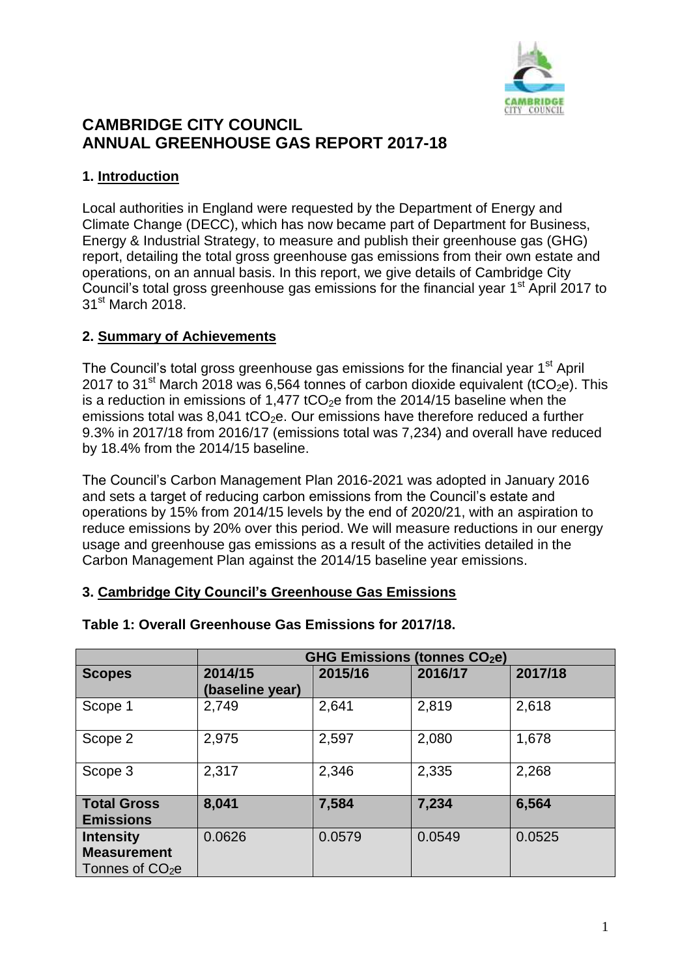

# **CAMBRIDGE CITY COUNCIL ANNUAL GREENHOUSE GAS REPORT 2017-18**

## **1. Introduction**

Local authorities in England were requested by the Department of Energy and Climate Change (DECC), which has now became part of Department for Business, Energy & Industrial Strategy, to measure and publish their greenhouse gas (GHG) report, detailing the total gross greenhouse gas emissions from their own estate and operations, on an annual basis. In this report, we give details of Cambridge City Council's total gross greenhouse gas emissions for the financial year 1<sup>st</sup> April 2017 to 31<sup>st</sup> March 2018.

## **2. Summary of Achievements**

The Council's total gross greenhouse gas emissions for the financial year 1<sup>st</sup> April 2017 to 31<sup>st</sup> March 2018 was 6,564 tonnes of carbon dioxide equivalent (tCO<sub>2</sub>e). This is a reduction in emissions of 1,477 tCO<sub>2</sub>e from the 2014/15 baseline when the emissions total was 8,041 tCO<sub>2</sub>e. Our emissions have therefore reduced a further 9.3% in 2017/18 from 2016/17 (emissions total was 7,234) and overall have reduced by 18.4% from the 2014/15 baseline.

The Council's Carbon Management Plan 2016-2021 was adopted in January 2016 and sets a target of reducing carbon emissions from the Council's estate and operations by 15% from 2014/15 levels by the end of 2020/21, with an aspiration to reduce emissions by 20% over this period. We will measure reductions in our energy usage and greenhouse gas emissions as a result of the activities detailed in the Carbon Management Plan against the 2014/15 baseline year emissions.

### **3. Cambridge City Council's Greenhouse Gas Emissions**

|                                                            | <b>GHG Emissions (tonnes CO2e)</b> |         |         |         |
|------------------------------------------------------------|------------------------------------|---------|---------|---------|
| <b>Scopes</b>                                              | 2014/15<br>(baseline year)         | 2015/16 | 2016/17 | 2017/18 |
| Scope 1                                                    | 2,749                              | 2,641   | 2,819   | 2,618   |
| Scope 2                                                    | 2,975                              | 2,597   | 2,080   | 1,678   |
| Scope 3                                                    | 2,317                              | 2,346   | 2,335   | 2,268   |
| <b>Total Gross</b><br><b>Emissions</b>                     | 8,041                              | 7,584   | 7,234   | 6,564   |
| <b>Intensity</b><br><b>Measurement</b><br>Tonnes of $CO2e$ | 0.0626                             | 0.0579  | 0.0549  | 0.0525  |

#### **Table 1: Overall Greenhouse Gas Emissions for 2017/18.**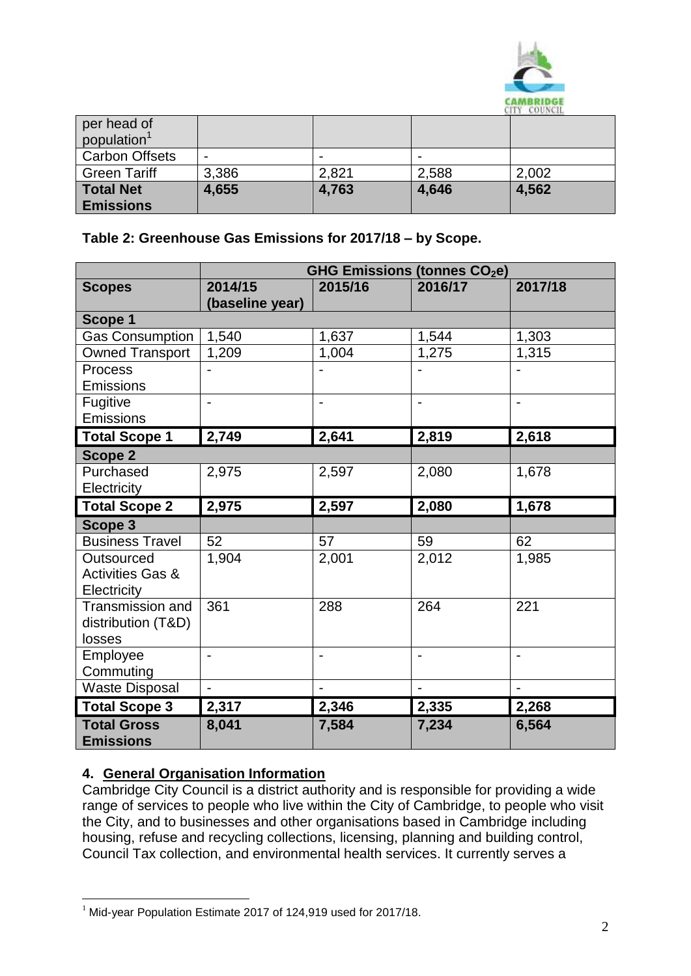

| per head of<br>population <sup>1</sup> |                          |       |       | <b><i>CALL CONDITUAL</i></b> |
|----------------------------------------|--------------------------|-------|-------|------------------------------|
| <b>Carbon Offsets</b>                  | $\overline{\phantom{0}}$ |       |       |                              |
| <b>Green Tariff</b>                    | 3,386                    | 2,821 | 2,588 | 2,002                        |
| <b>Total Net</b><br><b>Emissions</b>   | 4,655                    | 4,763 | 4,646 | 4,562                        |

## **Table 2: Greenhouse Gas Emissions for 2017/18 – by Scope.**

|                             | <b>GHG Emissions (tonnes CO2e)</b> |                          |                          |                          |
|-----------------------------|------------------------------------|--------------------------|--------------------------|--------------------------|
| <b>Scopes</b>               | 2014/15                            | 2015/16                  | 2016/17                  | 2017/18                  |
|                             | (baseline year)                    |                          |                          |                          |
| Scope 1                     |                                    |                          |                          |                          |
| <b>Gas Consumption</b>      | 1,540                              | 1,637                    | 1,544                    | 1,303                    |
| <b>Owned Transport</b>      | 1,209                              | 1,004                    | 1,275                    | 1,315                    |
| <b>Process</b>              |                                    |                          |                          |                          |
| <b>Emissions</b>            |                                    |                          |                          |                          |
| Fugitive                    | $\overline{\phantom{a}}$           | $\overline{\phantom{0}}$ | $\blacksquare$           | $\overline{\phantom{0}}$ |
| Emissions                   |                                    |                          |                          |                          |
| <b>Total Scope 1</b>        | 2,749                              | 2,641                    | 2,819                    | 2,618                    |
| Scope 2                     |                                    |                          |                          |                          |
| Purchased                   | 2,975                              | 2,597                    | 2,080                    | 1,678                    |
| Electricity                 |                                    |                          |                          |                          |
| <b>Total Scope 2</b>        | 2,975                              | 2,597                    | 2,080                    | 1,678                    |
| Scope 3                     |                                    |                          |                          |                          |
| <b>Business Travel</b>      | 52                                 | 57                       | 59                       | 62                       |
| Outsourced                  | 1,904                              | 2,001                    | 2,012                    | 1,985                    |
| <b>Activities Gas &amp;</b> |                                    |                          |                          |                          |
| Electricity                 |                                    |                          |                          |                          |
| Transmission and            | 361                                | 288                      | 264                      | 221                      |
| distribution (T&D)          |                                    |                          |                          |                          |
| losses                      |                                    |                          |                          |                          |
| Employee                    | $\overline{\phantom{a}}$           | $\overline{\phantom{a}}$ | $\overline{\phantom{a}}$ | $\overline{\phantom{0}}$ |
| Commuting                   |                                    |                          |                          |                          |
| <b>Waste Disposal</b>       | $\overline{\phantom{0}}$           |                          |                          |                          |
| <b>Total Scope 3</b>        | 2,317                              | 2,346                    | 2,335                    | 2,268                    |
| <b>Total Gross</b>          | 8,041                              | 7,584                    | 7,234                    | 6,564                    |
| <b>Emissions</b>            |                                    |                          |                          |                          |

### **4. General Organisation Information**

 $\overline{a}$ 

Cambridge City Council is a district authority and is responsible for providing a wide range of services to people who live within the City of Cambridge, to people who visit the City, and to businesses and other organisations based in Cambridge including housing, refuse and recycling collections, licensing, planning and building control, Council Tax collection, and environmental health services. It currently serves a

 $1$  Mid-year Population Estimate 2017 of 124,919 used for 2017/18.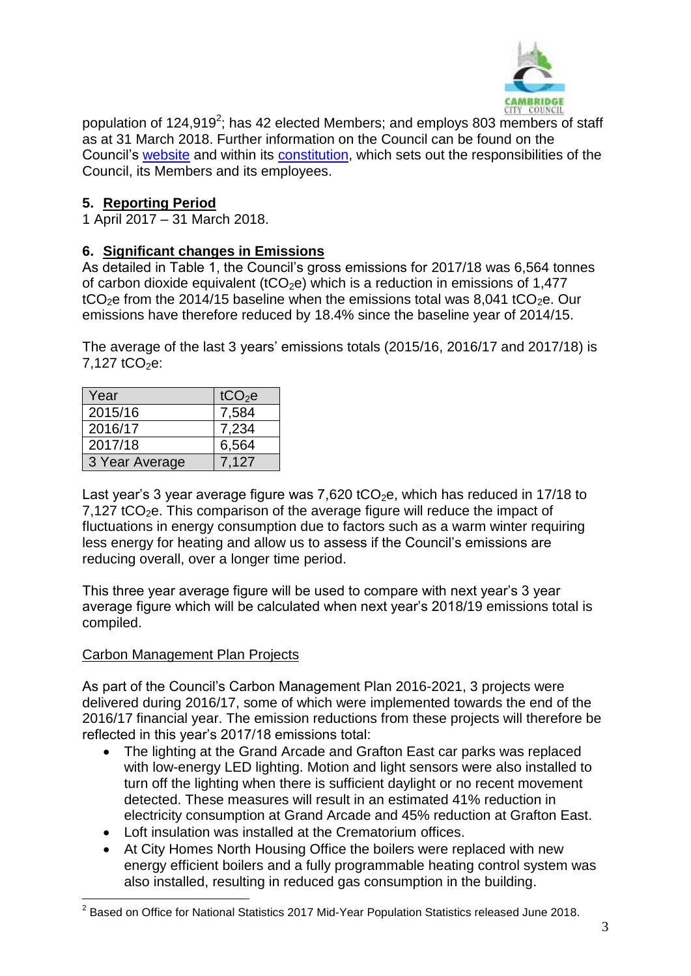

population of 124,919<sup>2</sup>; has 42 elected Members; and employs 803 members of staff as at 31 March 2018. Further information on the Council can be found on the Council's [website](http://www.cambridge.gov.uk/) and within its [constitution,](https://www.cambridge.gov.uk/constitution) which sets out the responsibilities of the Council, its Members and its employees.

## **5. Reporting Period**

1 April 2017 – 31 March 2018.

### **6. Significant changes in Emissions**

As detailed in Table 1, the Council's gross emissions for 2017/18 was 6,564 tonnes of carbon dioxide equivalent (tCO<sub>2</sub>e) which is a reduction in emissions of 1,477 tCO<sub>2</sub>e from the 2014/15 baseline when the emissions total was 8,041 tCO<sub>2</sub>e. Our emissions have therefore reduced by 18.4% since the baseline year of 2014/15.

The average of the last 3 years' emissions totals (2015/16, 2016/17 and 2017/18) is  $7.127$  tCO<sub>2</sub>e:

| Year           | tCO <sub>2</sub> e |
|----------------|--------------------|
| 2015/16        | 7,584              |
| 2016/17        | 7,234              |
| 2017/18        | 6,564              |
| 3 Year Average | 7.127              |

Last year's 3 year average figure was 7,620 tCO<sub>2</sub>e, which has reduced in 17/18 to  $7,127$  tCO<sub>2</sub>e. This comparison of the average figure will reduce the impact of fluctuations in energy consumption due to factors such as a warm winter requiring less energy for heating and allow us to assess if the Council's emissions are reducing overall, over a longer time period.

This three year average figure will be used to compare with next year's 3 year average figure which will be calculated when next year's 2018/19 emissions total is compiled.

### Carbon Management Plan Projects

As part of the Council's Carbon Management Plan 2016-2021, 3 projects were delivered during 2016/17, some of which were implemented towards the end of the 2016/17 financial year. The emission reductions from these projects will therefore be reflected in this year's 2017/18 emissions total:

- The lighting at the Grand Arcade and Grafton East car parks was replaced with low-energy LED lighting. Motion and light sensors were also installed to turn off the lighting when there is sufficient daylight or no recent movement detected. These measures will result in an estimated 41% reduction in electricity consumption at Grand Arcade and 45% reduction at Grafton East.
- Loft insulation was installed at the Crematorium offices.
- At City Homes North Housing Office the boilers were replaced with new energy efficient boilers and a fully programmable heating control system was also installed, resulting in reduced gas consumption in the building.

 2 Based on Office for National Statistics 2017 Mid-Year Population Statistics released June 2018.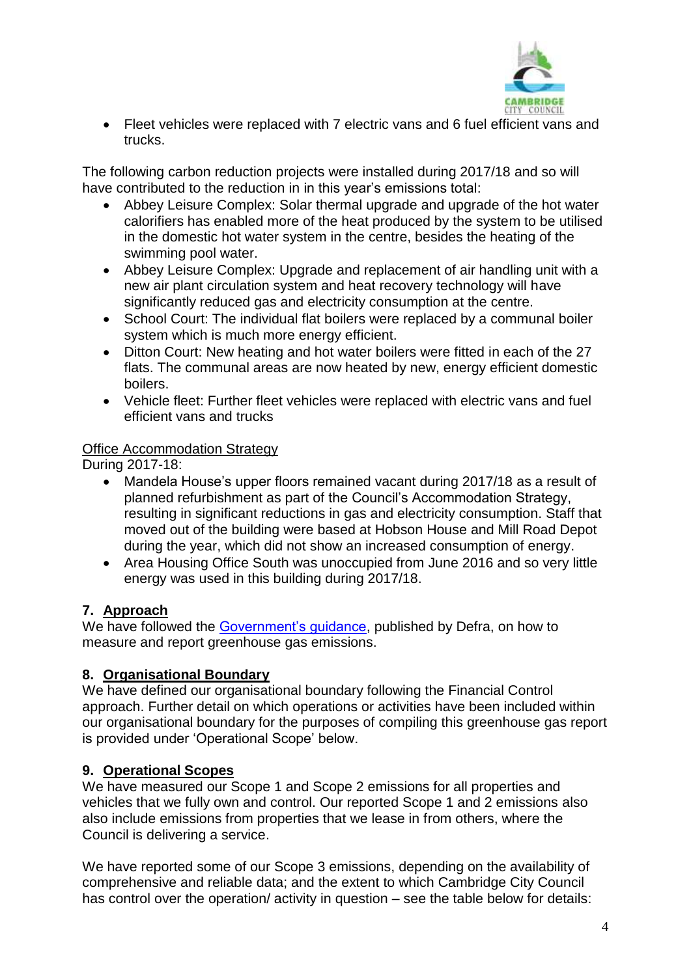

 Fleet vehicles were replaced with 7 electric vans and 6 fuel efficient vans and trucks.

The following carbon reduction projects were installed during 2017/18 and so will have contributed to the reduction in in this year's emissions total:

- Abbey Leisure Complex: Solar thermal upgrade and upgrade of the hot water calorifiers has enabled more of the heat produced by the system to be utilised in the domestic hot water system in the centre, besides the heating of the swimming pool water.
- Abbey Leisure Complex: Upgrade and replacement of air handling unit with a new air plant circulation system and heat recovery technology will have significantly reduced gas and electricity consumption at the centre.
- School Court: The individual flat boilers were replaced by a communal boiler system which is much more energy efficient.
- Ditton Court: New heating and hot water boilers were fitted in each of the 27 flats. The communal areas are now heated by new, energy efficient domestic boilers.
- Vehicle fleet: Further fleet vehicles were replaced with electric vans and fuel efficient vans and trucks

### **Office Accommodation Strategy**

During 2017-18:

- Mandela House's upper floors remained vacant during 2017/18 as a result of planned refurbishment as part of the Council's Accommodation Strategy, resulting in significant reductions in gas and electricity consumption. Staff that moved out of the building were based at Hobson House and Mill Road Depot during the year, which did not show an increased consumption of energy.
- Area Housing Office South was unoccupied from June 2016 and so very little energy was used in this building during 2017/18.

## **7. Approach**

We have followed the [Government's guidance,](https://www.gov.uk/measuring-and-reporting-environmental-impacts-guidance-for-businesses) published by Defra, on how to measure and report greenhouse gas emissions.

## **8. Organisational Boundary**

We have defined our organisational boundary following the Financial Control approach. Further detail on which operations or activities have been included within our organisational boundary for the purposes of compiling this greenhouse gas report is provided under 'Operational Scope' below.

## **9. Operational Scopes**

We have measured our Scope 1 and Scope 2 emissions for all properties and vehicles that we fully own and control. Our reported Scope 1 and 2 emissions also also include emissions from properties that we lease in from others, where the Council is delivering a service.

We have reported some of our Scope 3 emissions, depending on the availability of comprehensive and reliable data; and the extent to which Cambridge City Council has control over the operation/ activity in question – see the table below for details: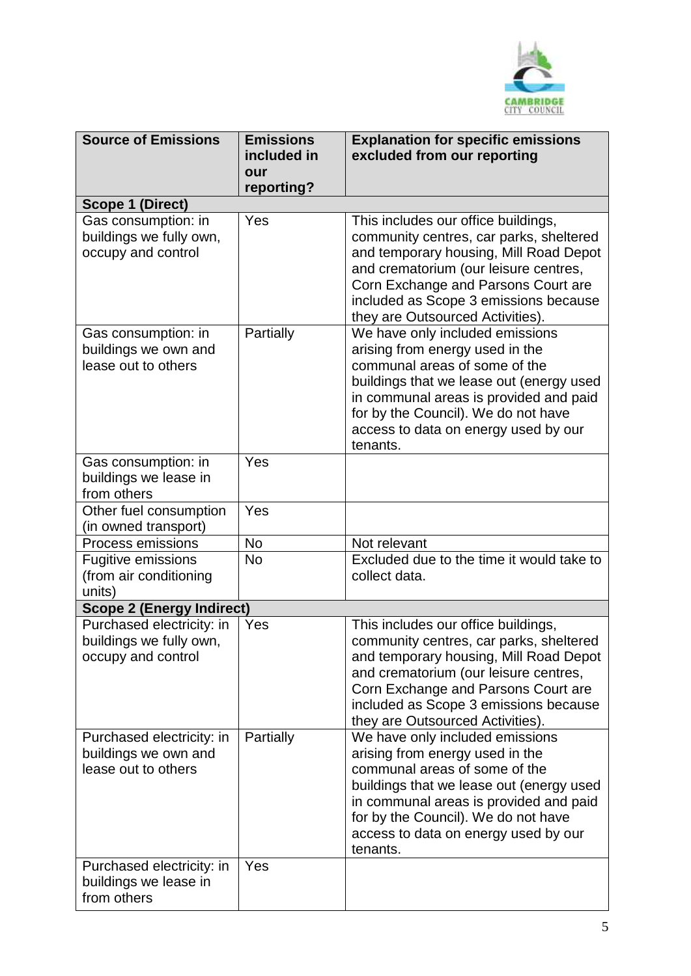

| <b>Source of Emissions</b>                                                 | <b>Emissions</b><br>included in<br>our | <b>Explanation for specific emissions</b><br>excluded from our reporting                                                                                                                                                                                                              |
|----------------------------------------------------------------------------|----------------------------------------|---------------------------------------------------------------------------------------------------------------------------------------------------------------------------------------------------------------------------------------------------------------------------------------|
| <b>Scope 1 (Direct)</b>                                                    | reporting?                             |                                                                                                                                                                                                                                                                                       |
| Gas consumption: in                                                        | Yes                                    | This includes our office buildings,                                                                                                                                                                                                                                                   |
| buildings we fully own,<br>occupy and control                              |                                        | community centres, car parks, sheltered<br>and temporary housing, Mill Road Depot<br>and crematorium (our leisure centres,<br>Corn Exchange and Parsons Court are<br>included as Scope 3 emissions because<br>they are Outsourced Activities).                                        |
| Gas consumption: in<br>buildings we own and<br>lease out to others         | Partially                              | We have only included emissions<br>arising from energy used in the<br>communal areas of some of the<br>buildings that we lease out (energy used<br>in communal areas is provided and paid<br>for by the Council). We do not have<br>access to data on energy used by our<br>tenants.  |
| Gas consumption: in<br>buildings we lease in<br>from others                | Yes                                    |                                                                                                                                                                                                                                                                                       |
| Other fuel consumption<br>(in owned transport)                             | Yes                                    |                                                                                                                                                                                                                                                                                       |
| <b>Process emissions</b>                                                   | <b>No</b>                              | Not relevant                                                                                                                                                                                                                                                                          |
| <b>Fugitive emissions</b><br>(from air conditioning<br>units)              | <b>No</b>                              | Excluded due to the time it would take to<br>collect data.                                                                                                                                                                                                                            |
| <b>Scope 2 (Energy Indirect)</b>                                           |                                        |                                                                                                                                                                                                                                                                                       |
| Purchased electricity: in<br>buildings we fully own,<br>occupy and control | Yes                                    | This includes our office buildings,<br>community centres, car parks, sheltered<br>and temporary housing, Mill Road Depot<br>and crematorium (our leisure centres,<br>Corn Exchange and Parsons Court are<br>included as Scope 3 emissions because<br>they are Outsourced Activities). |
| Purchased electricity: in<br>buildings we own and<br>lease out to others   | Partially                              | We have only included emissions<br>arising from energy used in the<br>communal areas of some of the<br>buildings that we lease out (energy used<br>in communal areas is provided and paid<br>for by the Council). We do not have<br>access to data on energy used by our<br>tenants.  |
| Purchased electricity: in<br>buildings we lease in<br>from others          | Yes                                    |                                                                                                                                                                                                                                                                                       |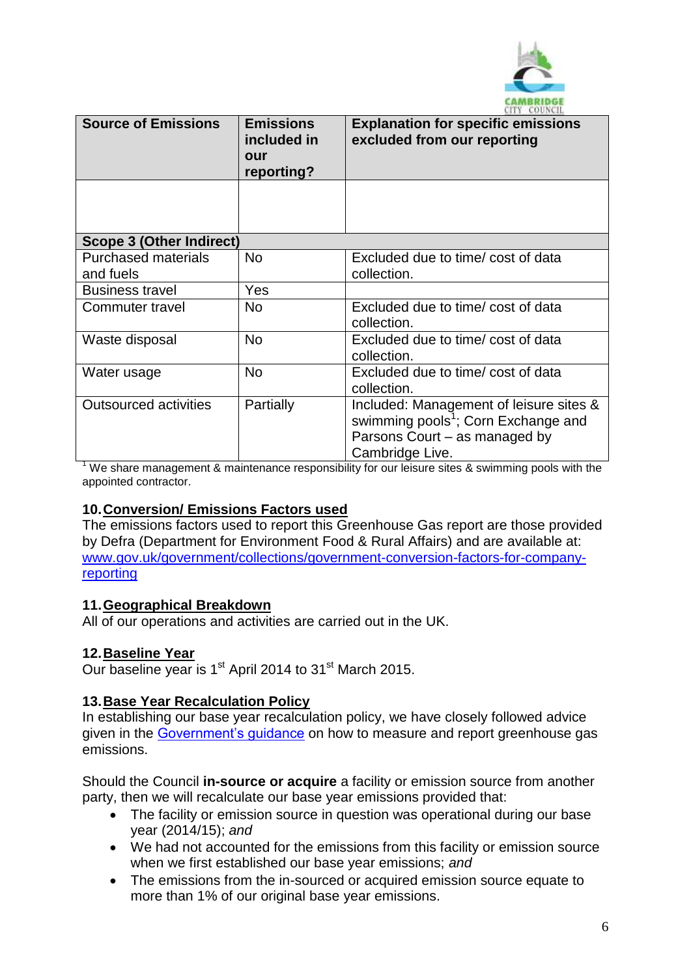

| <b>CITI CODINIL</b>             |                                                      |                                                                                                                                                |  |
|---------------------------------|------------------------------------------------------|------------------------------------------------------------------------------------------------------------------------------------------------|--|
| <b>Source of Emissions</b>      | <b>Emissions</b><br>included in<br>our<br>reporting? | <b>Explanation for specific emissions</b><br>excluded from our reporting                                                                       |  |
|                                 |                                                      |                                                                                                                                                |  |
| <b>Scope 3 (Other Indirect)</b> |                                                      |                                                                                                                                                |  |
| <b>Purchased materials</b>      | <b>No</b>                                            | Excluded due to time/ cost of data                                                                                                             |  |
| and fuels                       |                                                      | collection.                                                                                                                                    |  |
| <b>Business travel</b>          | Yes                                                  |                                                                                                                                                |  |
| Commuter travel                 | <b>No</b>                                            | Excluded due to time/ cost of data<br>collection.                                                                                              |  |
| Waste disposal                  | <b>No</b>                                            | Excluded due to time/ cost of data<br>collection.                                                                                              |  |
| Water usage                     | <b>No</b>                                            | Excluded due to time/ cost of data<br>collection.                                                                                              |  |
| <b>Outsourced activities</b>    | Partially                                            | Included: Management of leisure sites &<br>swimming pools <sup>1</sup> ; Corn Exchange and<br>Parsons Court – as managed by<br>Cambridge Live. |  |

We share management & maintenance responsibility for our leisure sites & swimming pools with the appointed contractor.

### **10.Conversion/ Emissions Factors used**

The emissions factors used to report this Greenhouse Gas report are those provided by Defra (Department for Environment Food & Rural Affairs) and are available at: [www.gov.uk/government/collections/government-conversion-factors-for-company](http://www.gov.uk/government/collections/government-conversion-factors-for-company-reporting)[reporting](http://www.gov.uk/government/collections/government-conversion-factors-for-company-reporting)

#### **11.Geographical Breakdown**

All of our operations and activities are carried out in the UK.

#### **12.Baseline Year**

Our baseline year is 1<sup>st</sup> April 2014 to 31<sup>st</sup> March 2015.

#### **13.Base Year Recalculation Policy**

In establishing our base year recalculation policy, we have closely followed advice given in the [Government's guidance](https://www.gov.uk/government/uploads/system/uploads/attachment_data/file/206392/pb13944-env-reporting-guidance.pdf) on how to measure and report greenhouse gas emissions.

Should the Council **in-source or acquire** a facility or emission source from another party, then we will recalculate our base year emissions provided that:

- The facility or emission source in question was operational during our base year (2014/15); *and*
- We had not accounted for the emissions from this facility or emission source when we first established our base year emissions; *and*
- The emissions from the in-sourced or acquired emission source equate to more than 1% of our original base year emissions.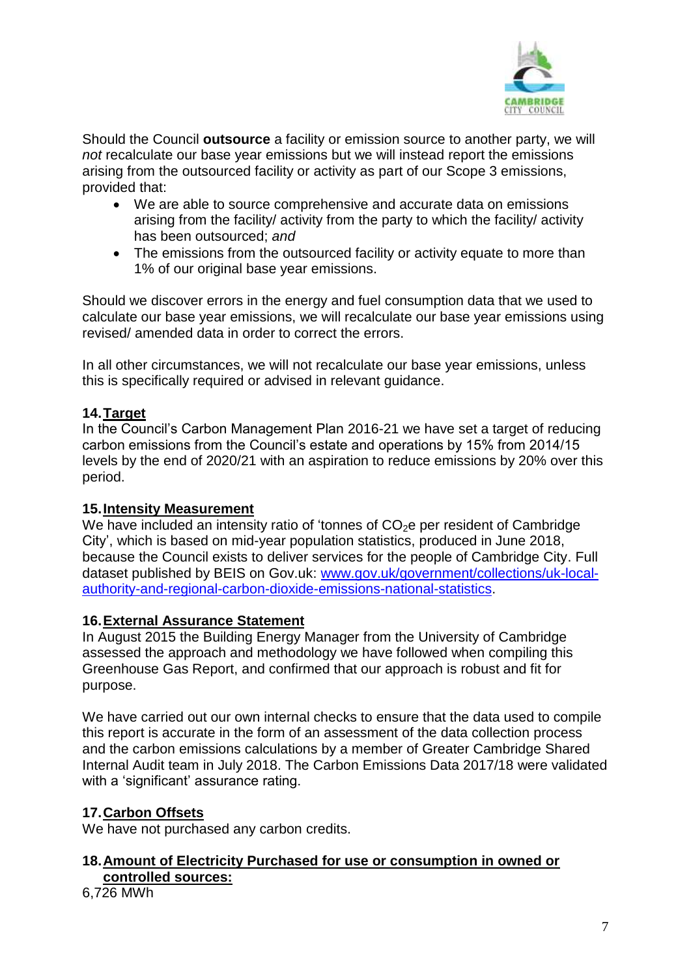

Should the Council **outsource** a facility or emission source to another party, we will *not* recalculate our base year emissions but we will instead report the emissions arising from the outsourced facility or activity as part of our Scope 3 emissions, provided that:

- We are able to source comprehensive and accurate data on emissions arising from the facility/ activity from the party to which the facility/ activity has been outsourced; *and*
- The emissions from the outsourced facility or activity equate to more than 1% of our original base year emissions.

Should we discover errors in the energy and fuel consumption data that we used to calculate our base year emissions, we will recalculate our base year emissions using revised/ amended data in order to correct the errors.

In all other circumstances, we will not recalculate our base year emissions, unless this is specifically required or advised in relevant guidance.

#### **14.Target**

In the Council's Carbon Management Plan 2016-21 we have set a target of reducing carbon emissions from the Council's estate and operations by 15% from 2014/15 levels by the end of 2020/21 with an aspiration to reduce emissions by 20% over this period.

#### **15.Intensity Measurement**

We have included an intensity ratio of 'tonnes of  $CO<sub>2</sub>e$  per resident of Cambridge City', which is based on mid-year population statistics, produced in June 2018, because the Council exists to deliver services for the people of Cambridge City. Full dataset published by BEIS on Gov.uk: [www.gov.uk/government/collections/uk-local](http://www.gov.uk/government/collections/uk-local-authority-and-regional-carbon-dioxide-emissions-national-statistics)[authority-and-regional-carbon-dioxide-emissions-national-statistics.](http://www.gov.uk/government/collections/uk-local-authority-and-regional-carbon-dioxide-emissions-national-statistics)

#### **16.External Assurance Statement**

In August 2015 the Building Energy Manager from the University of Cambridge assessed the approach and methodology we have followed when compiling this Greenhouse Gas Report, and confirmed that our approach is robust and fit for purpose.

We have carried out our own internal checks to ensure that the data used to compile this report is accurate in the form of an assessment of the data collection process and the carbon emissions calculations by a member of Greater Cambridge Shared Internal Audit team in July 2018. The Carbon Emissions Data 2017/18 were validated with a 'significant' assurance rating.

### **17.Carbon Offsets**

We have not purchased any carbon credits.

### **18.Amount of Electricity Purchased for use or consumption in owned or controlled sources:**

6,726 MWh